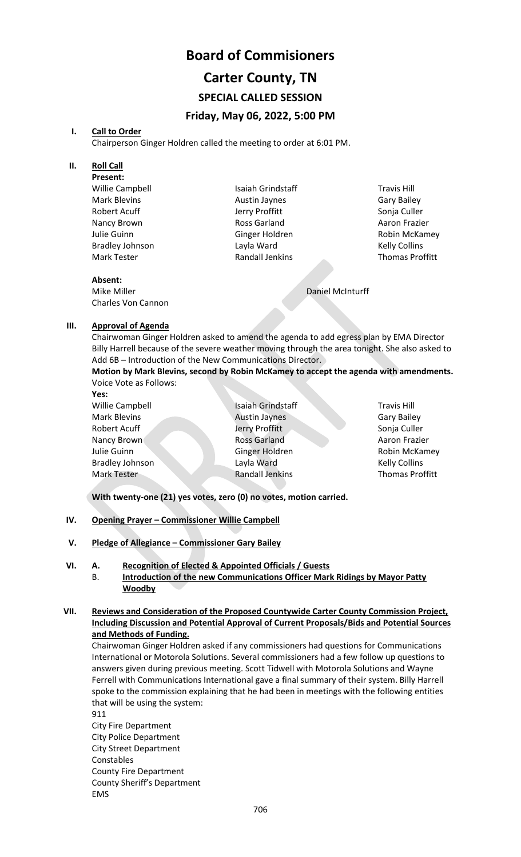# **Board of Commisioners Carter County, TN SPECIAL CALLED SESSION Friday, May 06, 2022, 5:00 PM**

#### **I. Call to Order**

Chairperson Ginger Holdren called the meeting to order at 6:01 PM.

#### **II. Roll Call**

**Present:** Willie Campbell Mark Blevins Robert Acuff Nancy Brown Julie Guinn Bradley Johnson Mark Tester

Isaiah Grindstaff Austin Jaynes Jerry Proffitt Ross Garland Ginger Holdren Layla Ward Randall Jenkins

Travis Hill Gary Bailey Sonja Culler Aaron Frazier Robin McKamey Kelly Collins Thomas Proffitt

### **Absent:**

Mike Miller Charles Von Cannon Daniel McInturff

#### **III. Approval of Agenda**

Chairwoman Ginger Holdren asked to amend the agenda to add egress plan by EMA Director Billy Harrell because of the severe weather moving through the area tonight. She also asked to Add 6B – Introduction of the New Communications Director.

**Motion by Mark Blevins, second by Robin McKamey to accept the agenda with amendments.**  Voice Vote as Follows:

**Yes:**

Willie Campbell Mark Blevins Robert Acuff Nancy Brown Julie Guinn Bradley Johnson Mark Tester

Isaiah Grindstaff Austin Jaynes Jerry Proffitt Ross Garland Ginger Holdren Layla Ward Randall Jenkins

Travis Hill Gary Bailey Sonja Culler Aaron Frazier Robin McKamey Kelly Collins Thomas Proffitt

**With twenty-one (21) yes votes, zero (0) no votes, motion carried.**

- **IV. Opening Prayer – Commissioner Willie Campbell**
- **V. Pledge of Allegiance – Commissioner Gary Bailey**
- **VI. A. Recognition of Elected & Appointed Officials / Guests**
	- B. **Introduction of the new Communications Officer Mark Ridings by Mayor Patty Woodby**

#### **VII. Reviews and Consideration of the Proposed Countywide Carter County Commission Project, Including Discussion and Potential Approval of Current Proposals/Bids and Potential Sources and Methods of Funding.**

Chairwoman Ginger Holdren asked if any commissioners had questions for Communications International or Motorola Solutions. Several commissioners had a few follow up questions to answers given during previous meeting. Scott Tidwell with Motorola Solutions and Wayne Ferrell with Communications International gave a final summary of their system. Billy Harrell spoke to the commission explaining that he had been in meetings with the following entities that will be using the system:

911

City Fire Department City Police Department City Street Department Constables County Fire Department County Sheriff's Department EMS